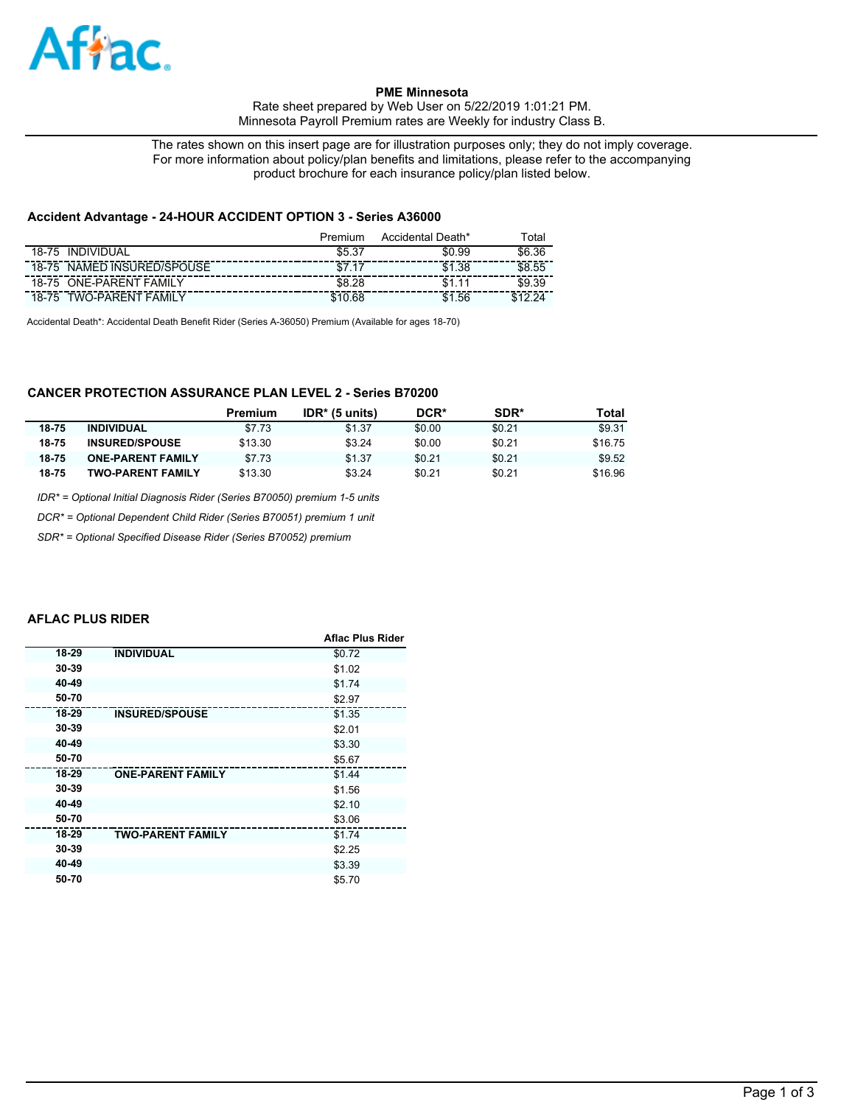

### **PME Minnesota**

Rate sheet prepared by Web User on 5/22/2019 1:01:21 PM. Minnesota Payroll Premium rates are Weekly for industry Class B.

The rates shown on this insert page are for illustration purposes only; they do not imply coverage. For more information about policy/plan benefits and limitations, please refer to the accompanying product brochure for each insurance policy/plan listed below.

### **Accident Advantage - 24-HOUR ACCIDENT OPTION 3 - Series A36000**

|                                   | Premium | Accidental Death* | ⊺otal      |
|-----------------------------------|---------|-------------------|------------|
| <b>INDIVIDUAL</b><br>$18 - 75$    | ົາ      | \$0.99            | .36<br>\$6 |
| NAMED INSURED/SPOUSE<br>18-75     |         | \$1.38            | \$8.55     |
| <b>ONE-PARENT FAMILY</b><br>18-75 | \$8.28  | \$1               | \$9.39     |
| TWO-PARENT<br>FAMIL<br>18-75      | 68      | .56<br>\$1        |            |

Accidental Death\*: Accidental Death Benefit Rider (Series A-36050) Premium (Available for ages 18-70)

# **CANCER PROTECTION ASSURANCE PLAN LEVEL 2 - Series B70200**

|       |                          | Premium | $IDR*$ (5 units) | DCR*   | SDR*   | Total   |
|-------|--------------------------|---------|------------------|--------|--------|---------|
| 18-75 | <b>INDIVIDUAL</b>        | \$7.73  | \$1.37           | \$0.00 | \$0.21 | \$9.31  |
| 18-75 | <b>INSURED/SPOUSE</b>    | \$13.30 | \$3.24           | \$0.00 | \$0.21 | \$16.75 |
| 18-75 | <b>ONE-PARENT FAMILY</b> | \$7.73  | \$1.37           | \$0.21 | \$0.21 | \$9.52  |
| 18-75 | <b>TWO-PARENT FAMILY</b> | \$13.30 | \$3.24           | \$0.21 | \$0.21 | \$16.96 |

*IDR\* = Optional Initial Diagnosis Rider (Series B70050) premium 1-5 units*

*DCR\* = Optional Dependent Child Rider (Series B70051) premium 1 unit*

*SDR\* = Optional Specified Disease Rider (Series B70052) premium*

#### **AFLAC PLUS RIDER**

|       |                          | <b>Aflac Plus Rider</b> |
|-------|--------------------------|-------------------------|
| 18-29 | <b>INDIVIDUAL</b>        | \$0.72                  |
| 30-39 |                          | \$1.02                  |
| 40-49 |                          | \$1.74                  |
| 50-70 |                          | \$2.97                  |
| 18-29 | <b>INSURED/SPOUSE</b>    | \$1.35                  |
| 30-39 |                          | \$2.01                  |
| 40-49 |                          | \$3.30                  |
| 50-70 |                          | \$5.67                  |
| 18-29 | <b>ONE-PARENT FAMILY</b> | \$1.44                  |
| 30-39 |                          | \$1.56                  |
| 40-49 |                          | \$2.10                  |
| 50-70 |                          | \$3.06                  |
| 18-29 | <b>TWO-PARENT FAMILY</b> | \$1.74                  |
| 30-39 |                          | \$2.25                  |
| 40-49 |                          | \$3.39                  |
| 50-70 |                          | \$5.70                  |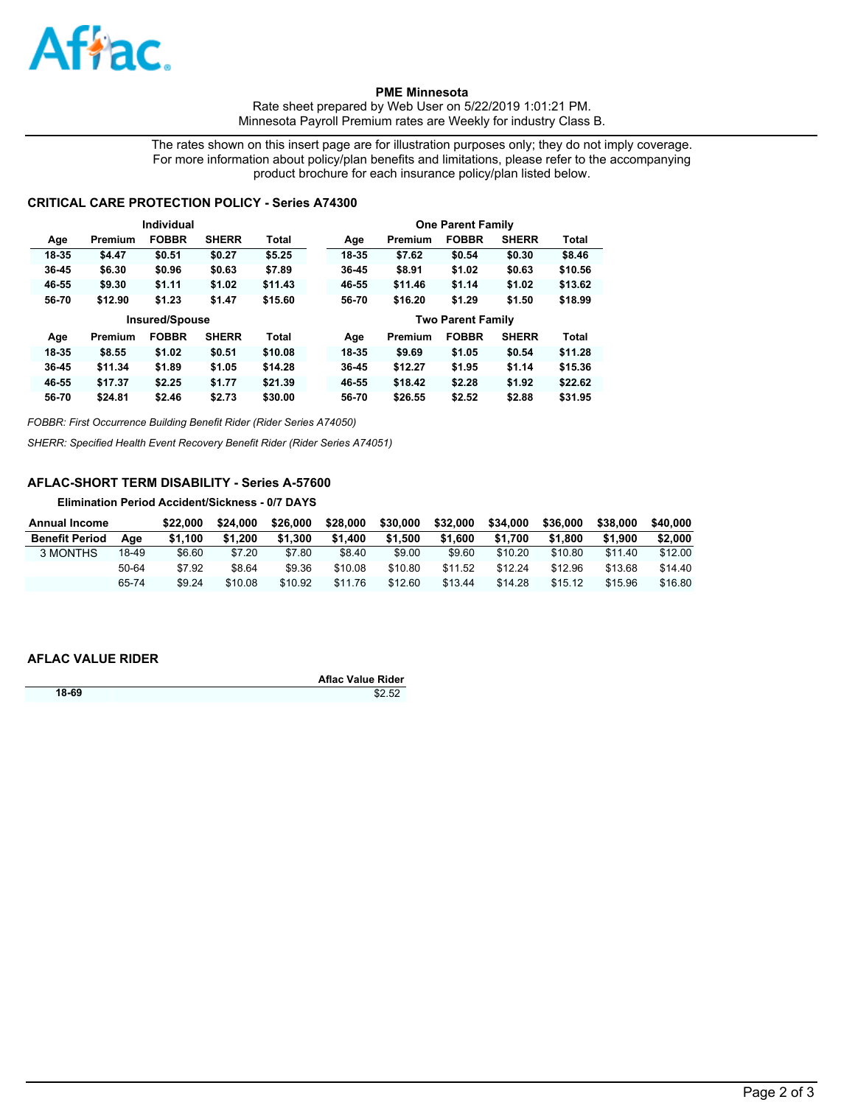

**PME Minnesota** 

Rate sheet prepared by Web User on 5/22/2019 1:01:21 PM. Minnesota Payroll Premium rates are Weekly for industry Class B.

The rates shown on this insert page are for illustration purposes only; they do not imply coverage. For more information about policy/plan benefits and limitations, please refer to the accompanying product brochure for each insurance policy/plan listed below.

## **CRITICAL CARE PROTECTION POLICY - Series A74300**

|           |                       | Individual   |              |              |                          |         | <b>One Parent Family</b> |              |              |
|-----------|-----------------------|--------------|--------------|--------------|--------------------------|---------|--------------------------|--------------|--------------|
| Age       | Premium               | <b>FOBBR</b> | <b>SHERR</b> | <b>Total</b> | Age                      | Premium | <b>FOBBR</b>             | <b>SHERR</b> | <b>Total</b> |
| 18-35     | \$4.47                | \$0.51       | \$0.27       | \$5.25       | 18-35                    | \$7.62  | \$0.54                   | \$0.30       | \$8.46       |
| 36-45     | \$6.30                | \$0.96       | \$0.63       | \$7.89       | 36-45                    | \$8.91  | \$1.02                   | \$0.63       | \$10.56      |
| 46-55     | \$9.30                | \$1.11       | \$1.02       | \$11.43      | 46-55                    | \$11.46 | \$1.14                   | \$1.02       | \$13.62      |
| 56-70     | \$12.90               | \$1.23       | \$1.47       | \$15.60      | 56-70                    | \$16.20 | \$1.29                   | \$1.50       | \$18.99      |
|           | <b>Insured/Spouse</b> |              |              |              | <b>Two Parent Family</b> |         |                          |              |              |
|           |                       |              |              |              |                          |         |                          |              |              |
| Age       | Premium               | <b>FOBBR</b> | <b>SHERR</b> | <b>Total</b> | Age                      | Premium | <b>FOBBR</b>             | <b>SHERR</b> | <b>Total</b> |
| 18-35     | \$8.55                | \$1.02       | \$0.51       | \$10.08      | 18-35                    | \$9.69  | \$1.05                   | \$0.54       | \$11.28      |
| $36 - 45$ | \$11.34               | \$1.89       | \$1.05       | \$14.28      | 36-45                    | \$12.27 | \$1.95                   | \$1.14       | \$15.36      |
| 46-55     | \$17.37               | \$2.25       | \$1.77       | \$21.39      | 46-55                    | \$18.42 | \$2.28                   | \$1.92       | \$22.62      |

*FOBBR: First Occurrence Building Benefit Rider (Rider Series A74050)*

*SHERR: Specified Health Event Recovery Benefit Rider (Rider Series A74051)*

# **AFLAC-SHORT TERM DISABILITY - Series A-57600**

**Elimination Period Accident/Sickness - 0/7 DAYS**

| Annual Income         |       | \$22.000 | \$24,000 | \$26,000 | \$28,000 | \$30,000 | \$32,000 | \$34.000 | \$36,000 | \$38,000 | \$40,000 |
|-----------------------|-------|----------|----------|----------|----------|----------|----------|----------|----------|----------|----------|
| <b>Benefit Period</b> | Aae   | \$1.100  | \$1.200  | \$1.300  | \$1.400  | \$1.500  | \$1,600  | \$1.700  | \$1,800  | \$1.900  | \$2,000  |
| 3 MONTHS              | 18-49 | \$6.60   | \$7.20   | \$7.80   | \$8.40   | \$9.00   | \$9.60   | \$10.20  | \$10.80  | \$11.40  | \$12.00  |
|                       | 50-64 | \$7.92   | \$8.64   | \$9.36   | \$10.08  | \$10.80  | \$11.52  | \$12.24  | \$12.96  | \$13.68  | \$14.40  |
|                       | 65-74 | \$9.24   | \$10.08  | \$10.92  | \$11.76  | \$12.60  | \$13.44  | \$14.28  | \$15.12  | \$15.96  | \$16.80  |

### **AFLAC VALUE RIDER**

|       | <b>Aflac Value Rider</b> |
|-------|--------------------------|
| 18-69 | \$2.52                   |